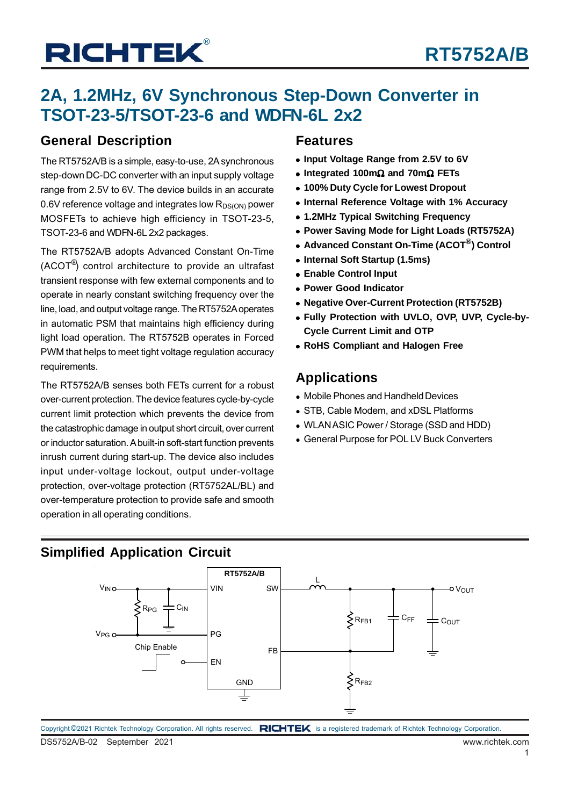### **2A, 1.2MHz, 6V Synchronous Step-Down Converter in TSOT-23-5/TSOT-23-6 and WDFN-6L 2x2**

### **General Description**

The RT5752A/B is a simple, easy-to-use, 2A synchronous step-down DC-DC converter with an input supply voltage range from 2.5V to 6V. The device builds in an accurate 0.6V reference voltage and integrates low  $R_{DS(ON)}$  power MOSFETs to achieve high efficiency in TSOT-23-5, TSOT-23-6 and WDFN-6L 2x2 packages.

The RT5752A/B adopts Advanced Constant On-Time (ACOT®) control architecture to provide an ultrafast transient response with few external components and to operate in nearly constant switching frequency over the line, load, and output voltage range. The RT5752A operates in automatic PSM that maintains high efficiency during light load operation. The RT5752B operates in Forced PWM that helps to meet tight voltage regulation accuracy requirements.

The RT5752A/B senses both FETs current for a robust over-current protection. The device features cycle-by-cycle current limit protection which prevents the device from the catastrophic damage in output short circuit, over current or inductor saturation. A built-in soft-start function prevents inrush current during start-up. The device also includes input under-voltage lockout, output under-voltage protection, over-voltage protection (RT5752AL/BL) and over-temperature protection to provide safe and smooth operation in all operating conditions.

### **Features**

- **Input Voltage Range from 2.5V to 6V**
- **Integrated 100m**Ω **and 70m**Ω **FETs**
- **100% Duty Cycle for Lowest Dropout**
- **Internal Reference Voltage with 1% Accuracy**
- **1.2MHz Typical Switching Frequency**
- **Power Saving Mode for Light Loads (RT5752A)**
- **Advanced Constant On-Time (ACOT<sup>®</sup>) Control**
- **Internal Soft Startup (1.5ms)**
- **Enable Control Input**
- **Power Good Indicator**
- **Negative Over-Current Protection (RT5752B)**
- **Fully Protection with UVLO, OVP, UVP, Cycle-by-Cycle Current Limit and OTP**
- **RoHS Compliant and Halogen Free**

### **Applications**

- Mobile Phones and Handheld Devices
- STB, Cable Modem, and xDSL Platforms
- WLAN ASIC Power / Storage (SSD and HDD)
- General Purpose for POL LV Buck Converters

### **Simplified Application Circuit**

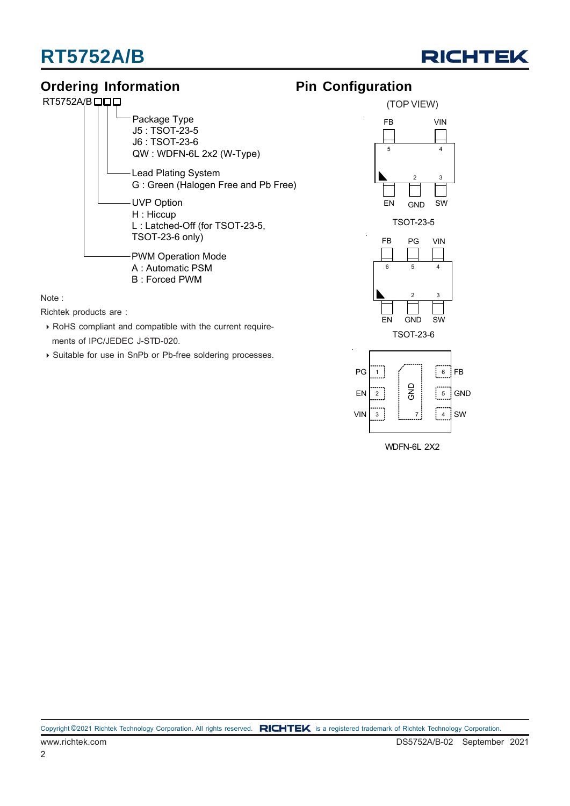# **RT5752A/B**



### **Ordering Information**



Note :

Richtek products are :

- RoHS compliant and compatible with the current require ments of IPC/JEDEC J-STD-020.
- ▶ Suitable for use in SnPb or Pb-free soldering processes.





WDFN-6L 2X2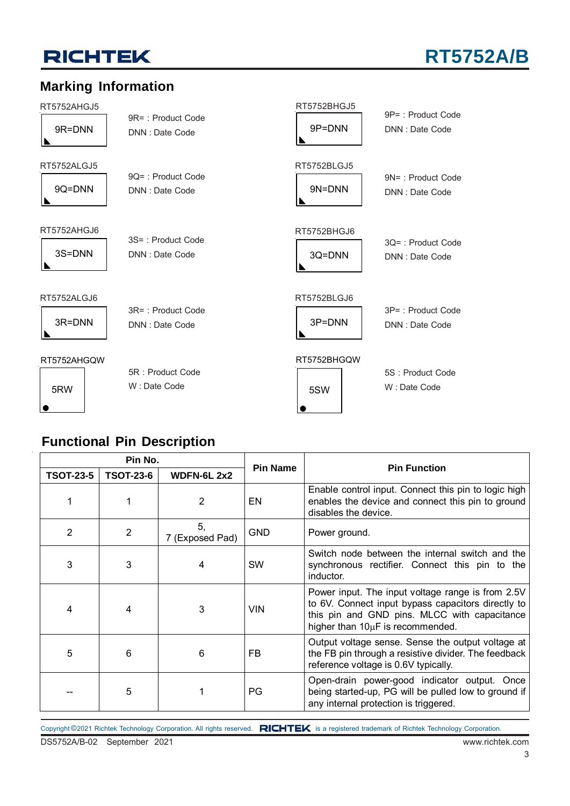# **RT5752A/B**

### **Marking Information**

RT5752AHGJ5

|   | 9R=DNN |  |
|---|--------|--|
| N |        |  |

RT5752ALGJ5

9Q=DNN

RT5752AHGJ6

3S=DNN

RT5752ALGJ6

3R=DNN

RT5752AHGQW

3S= : Product Code DNN : Date Code

3R= : Product Code DNN : Date Code

9R= : Product Code DNN : Date Code

9Q= : Product Code DNN : Date Code

# RT5752BHGJ6

3Q= : Product Code DNN : Date Code

9P= : Product Code DNN : Date Code

9N= : Product Code DNN : Date Code

RT5752BLGJ6

RT5752BHGJ5

9P=DNN

RT5752BLGJ5

9N=DNN

3Q=DNN

3P=DNN

3P= : Product Code DNN : Date Code

5S : Product Code W : Date Code

RT5752BHGQW

5RW

5R : Product Code W : Date Code



|   |   |   |            | inductor.                                                                                                                                                                                   |
|---|---|---|------------|---------------------------------------------------------------------------------------------------------------------------------------------------------------------------------------------|
| 4 |   |   | <b>VIN</b> | Power input. The input voltage range is from 2.5V<br>to 6V. Connect input bypass capacitors directly to<br>this pin and GND pins. MLCC with capacitance<br>higher than 10µF is recommended. |
| 5 |   | 6 | FB         | Output voltage sense. Sense the output voltage at<br>the FB pin through a resistive divider. The feedback<br>reference voltage is 0.6V typically.                                           |
|   | 5 |   | PG         | Open-drain power-good indicator output. Once<br>being started-up, PG will be pulled low to ground if<br>any internal protection is triggered.                                               |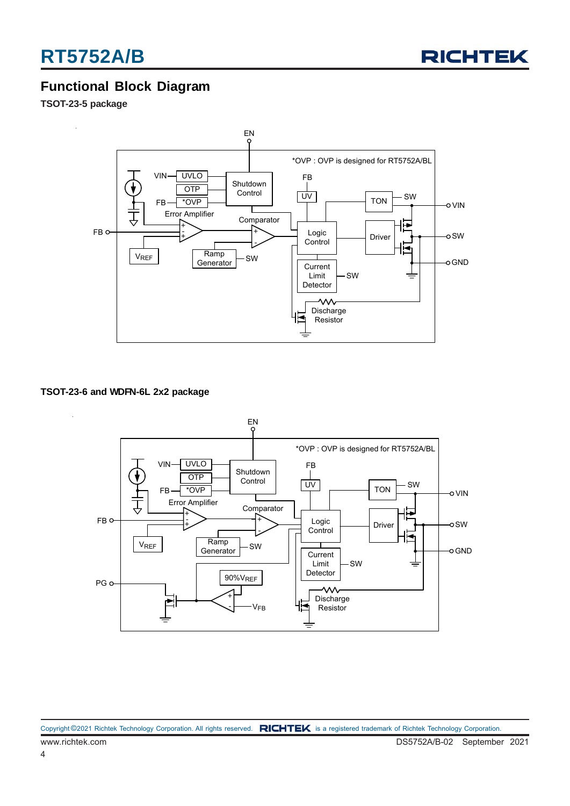

### **Functional Block Diagram**

**TSOT-23-5 package**



#### **TSOT-23-6 and WDFN-6L 2x2 package**

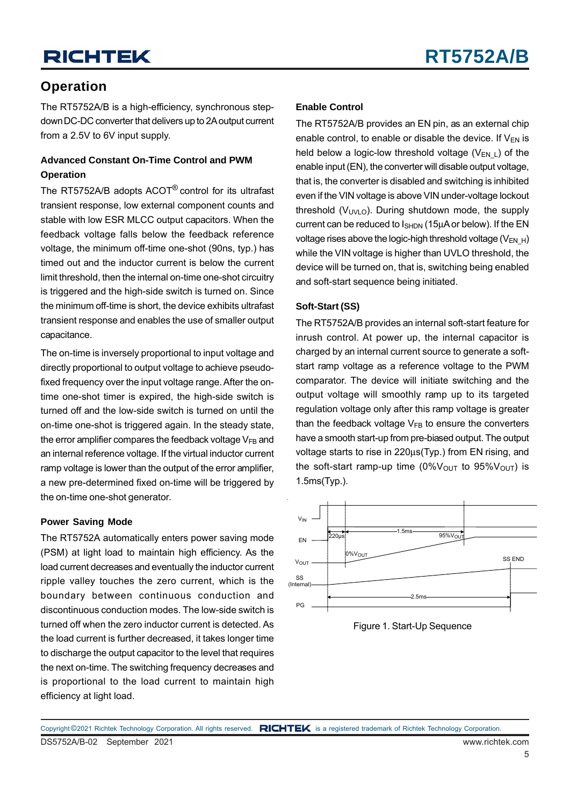### **Operation**

The RT5752A/B is a high-efficiency, synchronous stepdown DC-DC converter that delivers up to 2A output current from a 2.5V to 6V input supply.

#### **Advanced Constant On-Time Control and PWM Operation**

The RT5752A/B adopts ACOT® control for its ultrafast transient response, low external component counts and stable with low ESR MLCC output capacitors. When the feedback voltage falls below the feedback reference voltage, the minimum off-time one-shot (90ns, typ.) has timed out and the inductor current is below the current limit threshold, then the internal on-time one-shot circuitry is triggered and the high-side switch is turned on. Since the minimum off-time is short, the device exhibits ultrafast transient response and enables the use of smaller output capacitance.

The on-time is inversely proportional to input voltage and directly proportional to output voltage to achieve pseudofixed frequency over the input voltage range. After the ontime one-shot timer is expired, the high-side switch is turned off and the low-side switch is turned on until the on-time one-shot is triggered again. In the steady state, the error amplifier compares the feedback voltage  $V_{FB}$  and an internal reference voltage. If the virtual inductor current ramp voltage is lower than the output of the error amplifier, a new pre-determined fixed on-time will be triggered by the on-time one-shot generator.

#### **Power Saving Mode**

The RT5752A automatically enters power saving mode (PSM) at light load to maintain high efficiency. As the load current decreases and eventually the inductor current ripple valley touches the zero current, which is the boundary between continuous conduction and discontinuous conduction modes. The low-side switch is turned off when the zero inductor current is detected. As the load current is further decreased, it takes longer time to discharge the output capacitor to the level that requires the next on-time. The switching frequency decreases and is proportional to the load current to maintain high efficiency at light load.

#### **Enable Control**

The RT5752A/B provides an EN pin, as an external chip enable control, to enable or disable the device. If  $V_{EN}$  is held below a logic-low threshold voltage  $(V_{FN,1})$  of the enable input (EN), the converter will disable output voltage, that is, the converter is disabled and switching is inhibited even if the VIN voltage is above VIN under-voltage lockout threshold  $(V_{UVLO})$ . During shutdown mode, the supply current can be reduced to  $I<sub>SHDN</sub>$  (15 $\mu$ A or below). If the EN voltage rises above the logic-high threshold voltage  $(V_{\text{EN-H}})$ while the VIN voltage is higher than UVLO threshold, the device will be turned on, that is, switching being enabled and soft-start sequence being initiated.

#### **Soft-Start (SS)**

The RT5752A/B provides an internal soft-start feature for inrush control. At power up, the internal capacitor is charged by an internal current source to generate a softstart ramp voltage as a reference voltage to the PWM comparator. The device will initiate switching and the output voltage will smoothly ramp up to its targeted regulation voltage only after this ramp voltage is greater than the feedback voltage  $V_{FB}$  to ensure the converters have a smooth start-up from pre-biased output. The output voltage starts to rise in 220μs(Typ.) from EN rising, and the soft-start ramp-up time  $(0\%V<sub>OUT</sub>$  to  $95\%V<sub>OUT</sub>$  is 1.5ms(Typ.).



Figure 1. Start-Up Sequence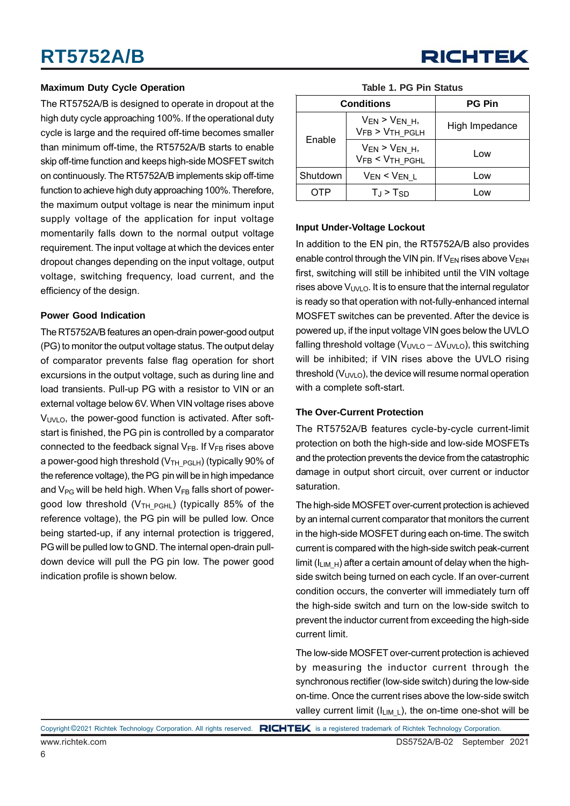#### **Maximum Duty Cycle Operation**

The RT5752A/B is designed to operate in dropout at the high duty cycle approaching 100%. If the operational duty cycle is large and the required off-time becomes smaller than minimum off-time, the RT5752A/B starts to enable skip off-time function and keeps high-side MOSFET switch on continuously. The RT5752A/B implements skip off-time function to achieve high duty approaching 100%. Therefore, the maximum output voltage is near the minimum input supply voltage of the application for input voltage momentarily falls down to the normal output voltage requirement. The input voltage at which the devices enter dropout changes depending on the input voltage, output voltage, switching frequency, load current, and the efficiency of the design.

#### **Power Good Indication**

The RT5752A/B features an open-drain power-good output (PG) to monitor the output voltage status. The output delay of comparator prevents false flag operation for short excursions in the output voltage, such as during line and load transients. Pull-up PG with a resistor to VIN or an external voltage below 6V. When VIN voltage rises above  $V<sub>UNLO</sub>$ , the power-good function is activated. After softstart is finished, the PG pin is controlled by a comparator connected to the feedback signal  $V_{FB}$ . If  $V_{FB}$  rises above a power-good high threshold ( $V_{TH-PELH}$ ) (typically 90% of the reference voltage), the PG pin will be in high impedance and  $V_{PG}$  will be held high. When  $V_{FB}$  falls short of powergood low threshold ( $V<sub>TH</sub>$  <sub>PGHL</sub>) (typically 85% of the reference voltage), the PG pin will be pulled low. Once being started-up, if any internal protection is triggered, PG will be pulled low to GND. The internal open-drain pulldown device will pull the PG pin low. The power good indication profile is shown below.

| <b>RICHTEK</b> |  |
|----------------|--|
|----------------|--|

|          | <b>Conditions</b>                           | <b>PG Pin</b>  |
|----------|---------------------------------------------|----------------|
| Enable   | $V_{EN}$ > $V_{EN_H}$ ,<br>$VFB > VTH_PGLH$ | High Impedance |
|          | $V_{EN}$ > $V_{EN_H}$ ,<br>VFB < VTH_PGHL   | Low            |
| Shutdown | VEN < VEN L                                 | Low            |
|          | $T_{\rm d}$ > $T_{\rm SD}$                  | <b>OW</b>      |

#### **Table 1. PG Pin Status**

#### **Input Under-Voltage Lockout**

In addition to the EN pin, the RT5752A/B also provides enable control through the VIN pin. If  $V_{EN}$  rises above  $V_{ENH}$ first, switching will still be inhibited until the VIN voltage rises above  $V_{UVLO}$ . It is to ensure that the internal regulator is ready so that operation with not-fully-enhanced internal MOSFET switches can be prevented. After the device is powered up, if the input voltage VIN goes below the UVLO falling threshold voltage ( $V_{UVLO} - \Delta V_{UVLO}$ ), this switching will be inhibited; if VIN rises above the UVLO rising threshold  $(V_{UVD})$ , the device will resume normal operation with a complete soft-start.

#### **The Over-Current Protection**

The RT5752A/B features cycle-by-cycle current-limit protection on both the high-side and low-side MOSFETs and the protection prevents the device from the catastrophic damage in output short circuit, over current or inductor saturation.

The high-side MOSFET over-current protection is achieved by an internal current comparator that monitors the current in the high-side MOSFET during each on-time. The switch current is compared with the high-side switch peak-current limit ( $I_{LIM}$  H) after a certain amount of delay when the highside switch being turned on each cycle. If an over-current condition occurs, the converter will immediately turn off the high-side switch and turn on the low-side switch to prevent the inductor current from exceeding the high-side current limit.

The low-side MOSFET over-current protection is achieved by measuring the inductor current through the synchronous rectifier (low-side switch) during the low-side on-time. Once the current rises above the low-side switch valley current limit ( $I_{LIML}$ ), the on-time one-shot will be

6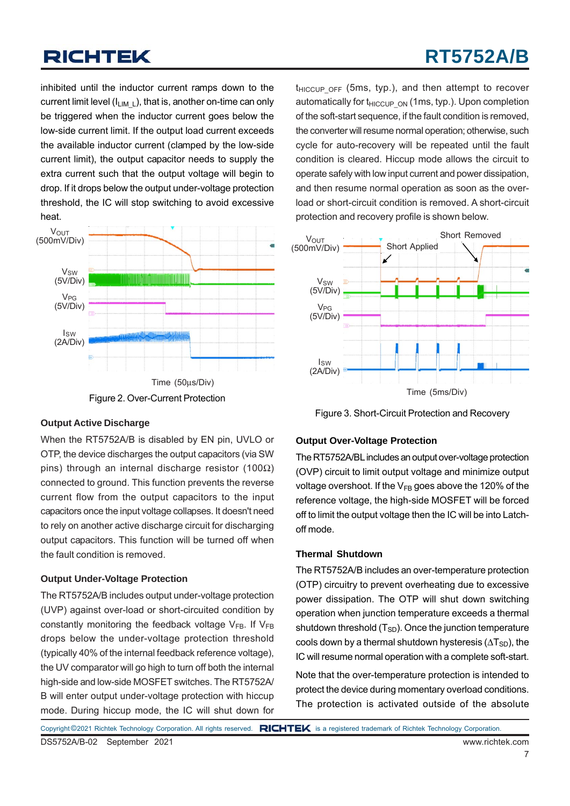# **RT5752A/B**

inhibited until the inductor current ramps down to the current limit level  $(I_{LIM-L})$ , that is, another on-time can only be triggered when the inductor current goes below the low-side current limit. If the output load current exceeds the available inductor current (clamped by the low-side current limit), the output capacitor needs to supply the extra current such that the output voltage will begin to drop. If it drops below the output under-voltage protection threshold, the IC will stop switching to avoid excessive heat.



#### **Output Active Discharge**

When the RT5752A/B is disabled by EN pin, UVLO or OTP, the device discharges the output capacitors (via SW pins) through an internal discharge resistor (100 $\Omega$ ) connected to ground. This function prevents the reverse current flow from the output capacitors to the input capacitors once the input voltage collapses. It doesn't need to rely on another active discharge circuit for discharging output capacitors. This function will be turned off when the fault condition is removed.

#### **Output Under-Voltage Protection**

The RT5752A/B includes output under-voltage protection (UVP) against over-load or short-circuited condition by constantly monitoring the feedback voltage  $V_{FB}$ . If  $V_{FB}$ drops below the under-voltage protection threshold (typically 40% of the internal feedback reference voltage), the UV comparator will go high to turn off both the internal high-side and low-side MOSFET switches. The RT5752A/ B will enter output under-voltage protection with hiccup mode. During hiccup mode, the IC will shut down for

 $t_{HICCUPOFF}$  (5ms, typ.), and then attempt to recover automatically for  $t_{HICClPON}$  (1ms, typ.). Upon completion of the soft-start sequence, if the fault condition is removed, the converter will resume normal operation; otherwise, such cycle for auto-recovery will be repeated until the fault condition is cleared. Hiccup mode allows the circuit to operate safely with low input current and power dissipation, and then resume normal operation as soon as the overload or short-circuit condition is removed. A short-circuit protection and recovery profile is shown below.



Figure 3. Short-Circuit Protection and Recovery

#### **Output Over-Voltage Protection**

The RT5752A/BL includes an output over-voltage protection (OVP) circuit to limit output voltage and minimize output voltage overshoot. If the  $V_{FB}$  goes above the 120% of the reference voltage, the high-side MOSFET will be forced off to limit the output voltage then the IC will be into Latchoff mode.

#### **Thermal Shutdown**

The RT5752A/B includes an over-temperature protection (OTP) circuitry to prevent overheating due to excessive power dissipation. The OTP will shut down switching operation when junction temperature exceeds a thermal shutdown threshold  $(T_{SD})$ . Once the junction temperature cools down by a thermal shutdown hysteresis  $(\Delta T_{SD})$ , the IC will resume normal operation with a complete soft-start.

Note that the over-temperature protection is intended to protect the device during momentary overload conditions. The protection is activated outside of the absolute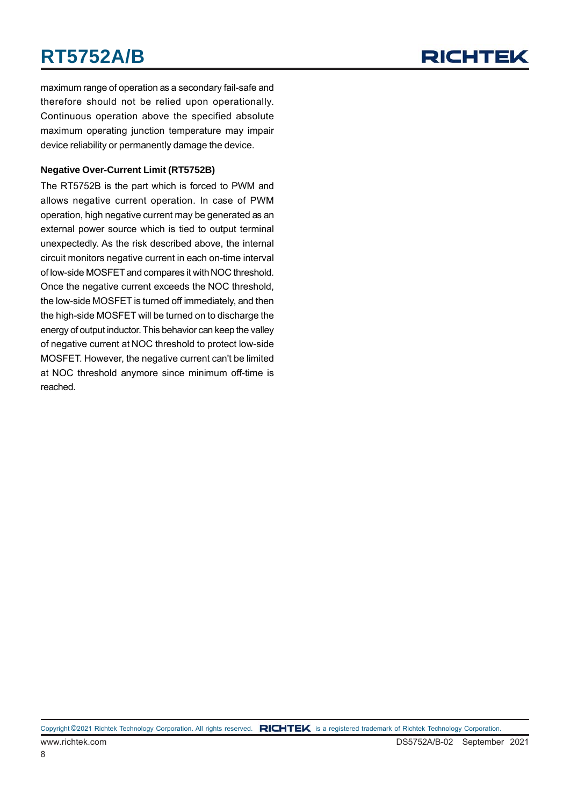# **RT5752A/B**



maximum range of operation as a secondary fail-safe and therefore should not be relied upon operationally. Continuous operation above the specified absolute maximum operating junction temperature may impair device reliability or permanently damage the device.

#### **Negative Over-Current Limit (RT5752B)**

The RT5752B is the part which is forced to PWM and allows negative current operation. In case of PWM operation, high negative current may be generated as an external power source which is tied to output terminal unexpectedly. As the risk described above, the internal circuit monitors negative current in each on-time interval of low-side MOSFET and compares it with NOC threshold. Once the negative current exceeds the NOC threshold, the low-side MOSFET is turned off immediately, and then the high-side MOSFET will be turned on to discharge the energy of output inductor. This behavior can keep the valley of negative current at NOC threshold to protect low-side MOSFET. However, the negative current can't be limited at NOC threshold anymore since minimum off-time is reached.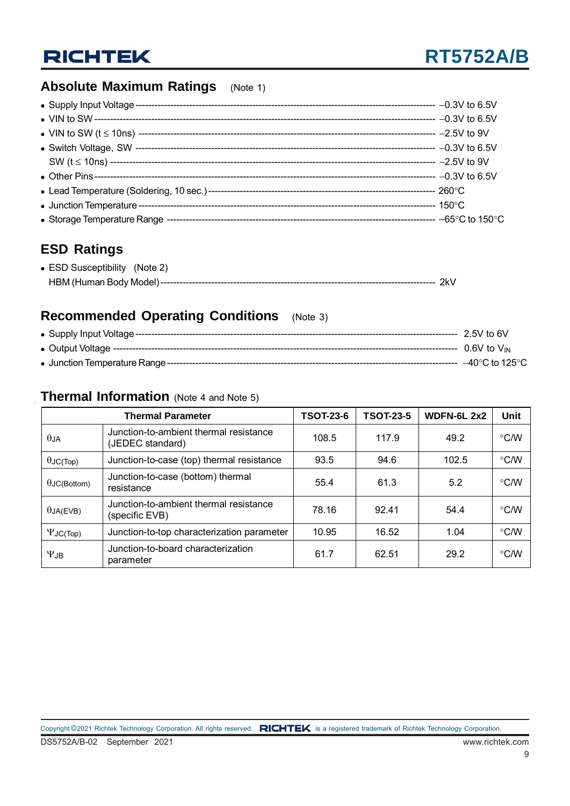### **Absolute Maximum Ratings** (Note 1)

### **ESD Ratings**

| • ESD Susceptibility (Note 2) |  |
|-------------------------------|--|
|                               |  |

### **Recommended Operating Conditions** (Note 3)

|                                              | $2.5V$ to 6V       |
|----------------------------------------------|--------------------|
|                                              | $0.6V$ to $V_{IN}$ |
| • Junction Temperature Range --------------- | –40°C to 125°C.    |

### **Thermal Information** (Note 4 and Note 5)

|                                                                              | <b>Thermal Parameter</b>                                   | <b>TSOT-23-6</b> | <b>TSOT-23-5</b> | <b>WDFN-6L 2x2</b> | Unit          |
|------------------------------------------------------------------------------|------------------------------------------------------------|------------------|------------------|--------------------|---------------|
| $\theta$ JA                                                                  | Junction-to-ambient thermal resistance<br>(JEDEC standard) | 108.5            | 117.9            | 49.2               | $\degree$ C/W |
| $\theta$ JC(Top)                                                             | Junction-to-case (top) thermal resistance                  | 93.5             | 94.6             | 102.5              | $\degree$ C/W |
| $\theta$ JC(Bottom)                                                          | Junction-to-case (bottom) thermal<br>resistance            | 55.4             | 61.3             | 5.2                | $\degree$ C/W |
| Junction-to-ambient thermal resistance<br>$\theta$ JA(EVB)<br>(specific EVB) |                                                            | 78.16            | 92.41            | 54.4               | $\degree$ C/W |
| Junction-to-top characterization parameter<br>$\Psi$ JC(Top)                 |                                                            | 10.95            | 16.52            | 1.04               | $\degree$ C/W |
| $\Psi$ JB                                                                    | Junction-to-board characterization<br>parameter            | 61.7             | 62.51            | 29.2               | $\degree$ C/W |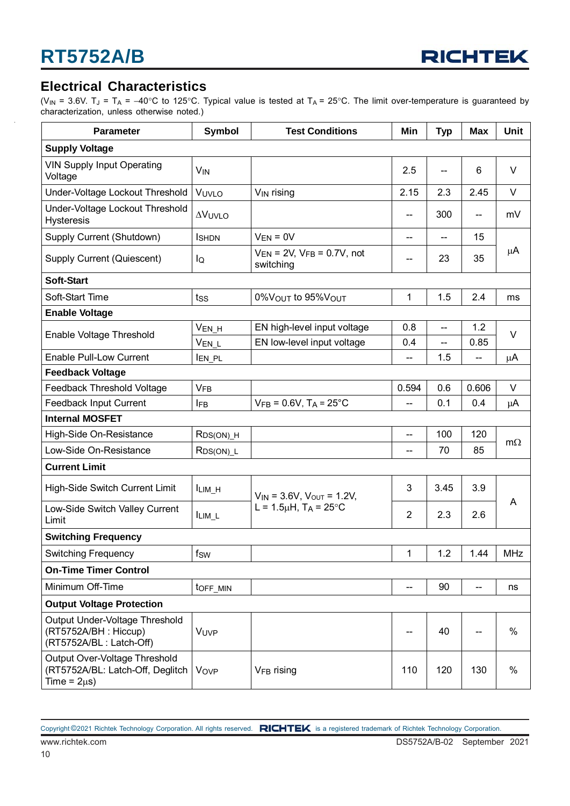

### **Electrical Characteristics**

(V<sub>IN</sub> = 3.6V. T<sub>J</sub> = T<sub>A</sub> = -40°C to 125°C. Typical value is tested at T<sub>A</sub> = 25°C. The limit over-temperature is guaranteed by characterization, unless otherwise noted.)

| <b>Parameter</b>                                                                       | <b>Symbol</b>          | <b>Test Conditions</b>                           | Min            | <b>Typ</b>               | <b>Max</b> | Unit                                                                         |
|----------------------------------------------------------------------------------------|------------------------|--------------------------------------------------|----------------|--------------------------|------------|------------------------------------------------------------------------------|
| <b>Supply Voltage</b>                                                                  |                        |                                                  |                |                          |            |                                                                              |
| <b>VIN Supply Input Operating</b><br>Voltage                                           | <b>V<sub>IN</sub></b>  |                                                  | 2.5            | $\overline{\phantom{a}}$ | 6          | $\vee$                                                                       |
| Under-Voltage Lockout Threshold                                                        | VUVLO                  | V <sub>IN</sub> rising                           | 2.15           | 2.3                      | 2.45       | V                                                                            |
| Under-Voltage Lockout Threshold<br><b>Hysteresis</b>                                   | <b>AVUVLO</b>          |                                                  |                | 300                      | --         | mV                                                                           |
| Supply Current (Shutdown)                                                              | <b>I</b> SHDN          | $V_{EN} = 0V$                                    | --             | --                       | 15         |                                                                              |
| Supply Current (Quiescent)                                                             | lQ                     | $V_{EN}$ = 2V, $V_{FB}$ = 0.7V, not<br>switching |                | 23                       | 35         | μA                                                                           |
| <b>Soft-Start</b>                                                                      |                        |                                                  |                |                          |            |                                                                              |
| Soft-Start Time                                                                        | tss                    | 0% VOUT to 95% VOUT                              | 1              | 1.5                      | 2.4        | ms                                                                           |
| <b>Enable Voltage</b>                                                                  |                        |                                                  |                |                          |            |                                                                              |
| Enable Voltage Threshold                                                               | V <sub>EN_H</sub>      | EN high-level input voltage                      | 0.8            | --                       | 1.2        |                                                                              |
|                                                                                        | $V_{EN\_L}$            | EN low-level input voltage                       | 0.4            | --                       | 0.85       | $\vee$<br>$\mu$ A<br>V<br>μA<br>$m\Omega$<br>A<br><b>MHz</b><br>ns<br>%<br>% |
| <b>Enable Pull-Low Current</b>                                                         | <b>IEN_PL</b>          |                                                  |                | 1.5                      |            |                                                                              |
| <b>Feedback Voltage</b>                                                                |                        |                                                  |                |                          |            |                                                                              |
| Feedback Threshold Voltage                                                             | <b>VFB</b>             |                                                  | 0.594          | 0.6                      | 0.606      |                                                                              |
| Feedback Input Current                                                                 | <b>IFB</b>             | $V_{FB} = 0.6V$ , T <sub>A</sub> = 25°C          | --             | 0.1                      | 0.4        |                                                                              |
| <b>Internal MOSFET</b>                                                                 |                        |                                                  |                |                          |            |                                                                              |
| High-Side On-Resistance                                                                | $RDS(ON)$ _H           |                                                  | --             | 100                      | 120        |                                                                              |
| Low-Side On-Resistance                                                                 | $RDS(ON)$ _L           |                                                  | --             | 70                       | 85         |                                                                              |
| <b>Current Limit</b>                                                                   |                        |                                                  |                |                          |            |                                                                              |
| High-Side Switch Current Limit                                                         | $I_{LIM_H}$            | $V_{IN}$ = 3.6V, $V_{OUT}$ = 1.2V,               | 3              | 3.45                     | 3.9        |                                                                              |
| Low-Side Switch Valley Current<br>Limit                                                | ILIM_L                 | L = $1.5\mu$ H, T <sub>A</sub> = $25^{\circ}$ C  | $\overline{2}$ | 2.3                      | 2.6        |                                                                              |
| <b>Switching Frequency</b>                                                             |                        |                                                  |                |                          |            |                                                                              |
| <b>Switching Frequency</b>                                                             | $f_{SW}$               |                                                  | 1              | 1.2                      | 1.44       |                                                                              |
| <b>On-Time Timer Control</b>                                                           |                        |                                                  |                |                          |            |                                                                              |
| Minimum Off-Time                                                                       | toff_MIN               |                                                  | --             | 90                       | --         |                                                                              |
| <b>Output Voltage Protection</b>                                                       |                        |                                                  |                |                          |            |                                                                              |
| Output Under-Voltage Threshold<br>(RT5752A/BH: Hiccup)<br>(RT5752A/BL: Latch-Off)      | VUVP                   |                                                  |                | 40                       | --         |                                                                              |
| Output Over-Voltage Threshold<br>(RT5752A/BL: Latch-Off, Deglitch<br>Time = $2\mu s$ ) | <b>Vov<sub>P</sub></b> | V <sub>FB</sub> rising                           | 110            | 120                      | 130        |                                                                              |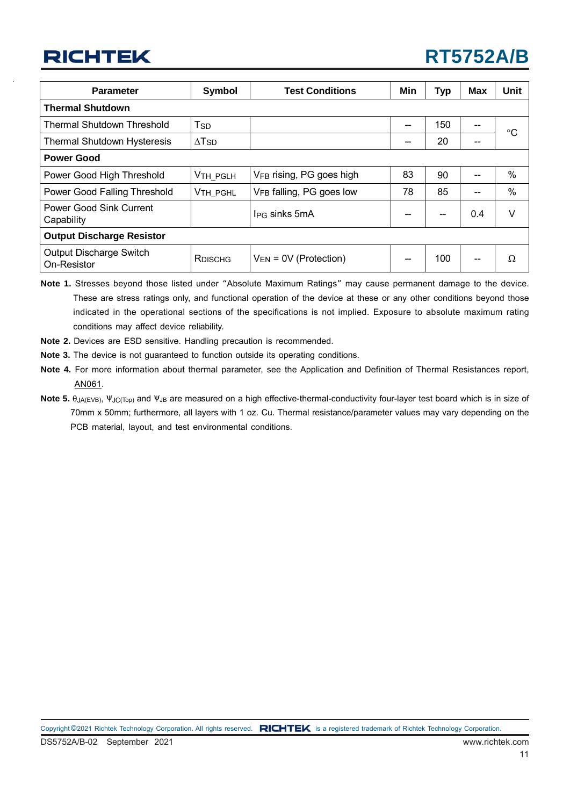| <b>Parameter</b>                                  | <b>Test Conditions</b><br>Symbol |                                      | Min | <b>Typ</b> | <b>Max</b> | <b>Unit</b>  |  |
|---------------------------------------------------|----------------------------------|--------------------------------------|-----|------------|------------|--------------|--|
| <b>Thermal Shutdown</b>                           |                                  |                                      |     |            |            |              |  |
| <b>Thermal Shutdown Threshold</b>                 | T <sub>SD</sub>                  |                                      | --  | 150        | $- -$      | $^{\circ}$ C |  |
| <b>Thermal Shutdown Hysteresis</b>                | $\Delta$ T <sub>SD</sub>         |                                      | --  | 20         | $- -$      |              |  |
| <b>Power Good</b>                                 |                                  |                                      |     |            |            |              |  |
| Power Good High Threshold                         | V <sub>TH_PGLH</sub>             | V <sub>FB</sub> rising, PG goes high | 83  | 90         |            | $\%$         |  |
| Power Good Falling Threshold                      | V <sub>TH PGHL</sub>             | VFB falling, PG goes low             | 78  | 85         |            | %            |  |
| <b>Power Good Sink Current</b><br>Capability      |                                  | I <sub>PG</sub> sinks 5mA            |     |            | 0.4        | V            |  |
| <b>Output Discharge Resistor</b>                  |                                  |                                      |     |            |            |              |  |
| Output Discharge Switch<br>RDISCHG<br>On-Resistor |                                  | $V_{EN}$ = 0V (Protection)           | --  | 100        | $- -$      | Ω            |  |

**Note 1.** Stresses beyond those listed under "Absolute Maximum Ratings" may cause permanent damage to the device. These are stress ratings only, and functional operation of the device at these or any other conditions beyond those indicated in the operational sections of the specifications is not implied. Exposure to absolute maximum rating conditions may affect device reliability.

- **Note 2.** Devices are ESD sensitive. Handling precaution is recommended.
- **Note 3.** The device is not guaranteed to function outside its operating conditions.

**Note 4.** For more information about thermal parameter, see the Application and Definition of Thermal Resistances report, [AN061](https://www.richtek.com/Design Support/Technical Document/AN061?sc_lang=en).

**Note 5.** θ<sub>JA(EVB)</sub>, Ψ<sub>JC(Top)</sub> and Ψ<sub>JB</sub> are measured on a high effective-thermal-conductivity four-layer test board which is in size of 70mm x 50mm; furthermore, all layers with 1 oz. Cu. Thermal resistance/parameter values may vary depending on the PCB material, layout, and test environmental conditions.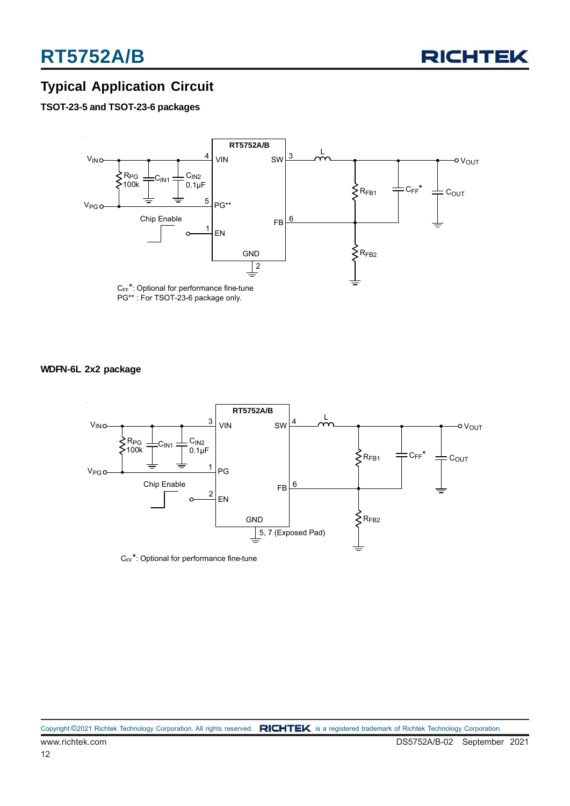

### **Typical Application Circuit**

#### **TSOT-23-5 and TSOT-23-6 packages**



#### **WDFN-6L 2x2 package**



 $C_{FF}^*$ : Optional for performance fine-tune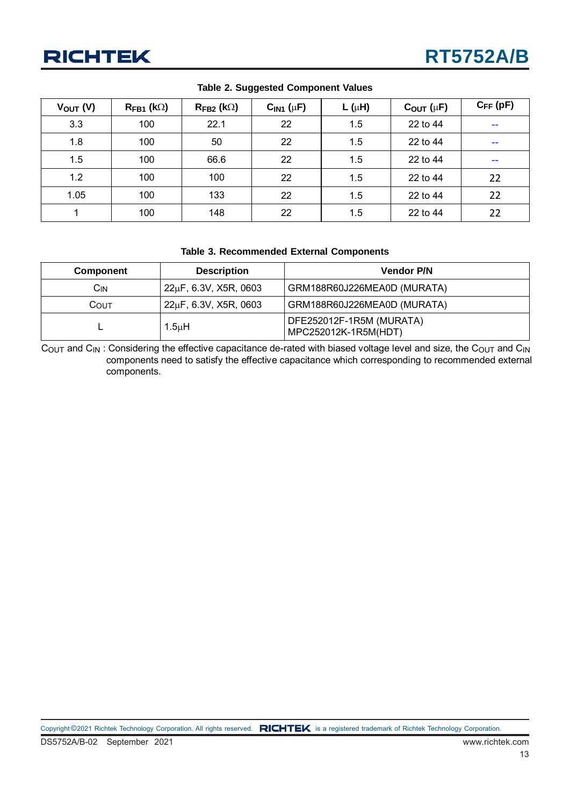| $V_{OUT} (V)$ | $R_{FB1}$ (k $\Omega$ ) | $R_{FB2}$ (k $\Omega$ ) | $CIN1$ ( $\mu$ F) | $L(\mu H)$ | $C_{OUT}$ ( $\mu$ F) | $C_{FF}$ (pF)            |
|---------------|-------------------------|-------------------------|-------------------|------------|----------------------|--------------------------|
| 3.3           | 100                     | 22.1                    | 22                | 1.5        | 22 to 44             | $\sim$ $\sim$            |
| 1.8           | 100                     | 50                      | 22                | 1.5        | 22 to 44             | $\overline{\phantom{m}}$ |
| 1.5           | 100                     | 66.6                    | 22                | 1.5        | 22 to 44             | $- -$                    |
| 1.2           | 100                     | 100                     | 22                | 1.5        | 22 to 44             | 22                       |
| 1.05          | 100                     | 133                     | 22                | 1.5        | 22 to 44             | 22                       |
|               | 100                     | 148                     | 22                | 1.5        | 22 to 44             | 22                       |

#### **Table 2. Suggested Component Values**

#### **Table 3. Recommended External Components**

| Component  | <b>Description</b>    | <b>Vendor P/N</b>                                |
|------------|-----------------------|--------------------------------------------------|
| <b>CIN</b> | 22µF, 6.3V, X5R, 0603 | GRM188R60J226MEA0D (MURATA)                      |
| COUT       | 22µF, 6.3V, X5R, 0603 | GRM188R60J226MEA0D (MURATA)                      |
|            | 1.5 $\mu$ H           | DFE252012F-1R5M (MURATA)<br>MPC252012K-1R5M(HDT) |

COUT and C<sub>IN</sub>: Considering the effective capacitance de-rated with biased voltage level and size, the C<sub>OUT</sub> and C<sub>IN</sub> components need to satisfy the effective capacitance which corresponding to recommended external components.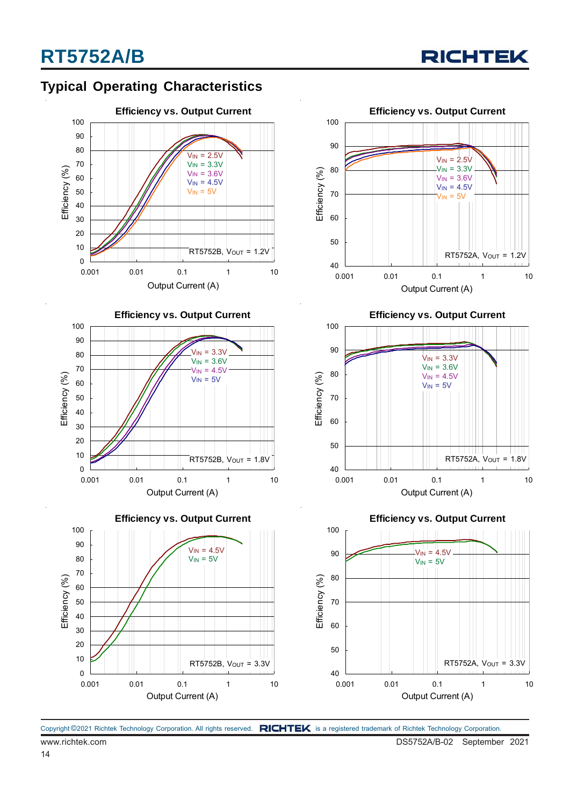

### **Typical Operating Characteristics**











**Efficiency vs. Output Current**



**Efficiency vs. Output Current**

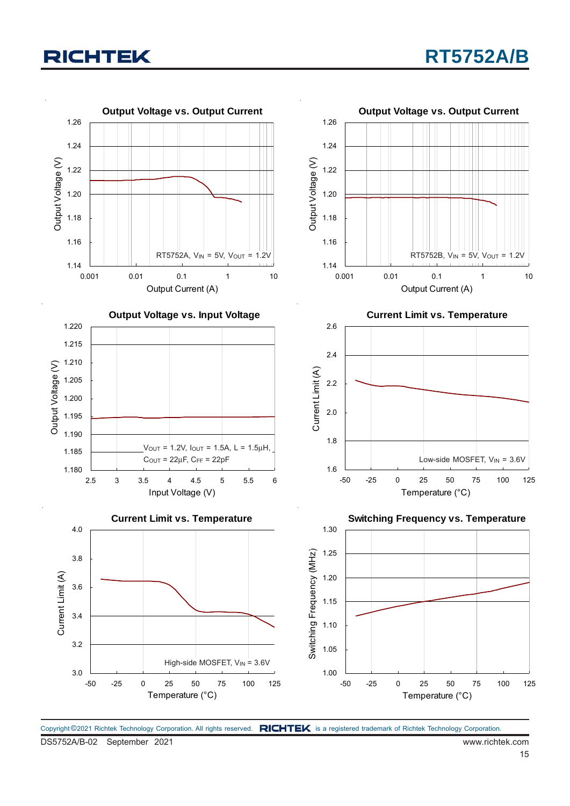

Copyright ©2021 Richtek Technology Corporation. All rights reserved. RICHTEK is a registered trademark of Richtek Technology Corporation.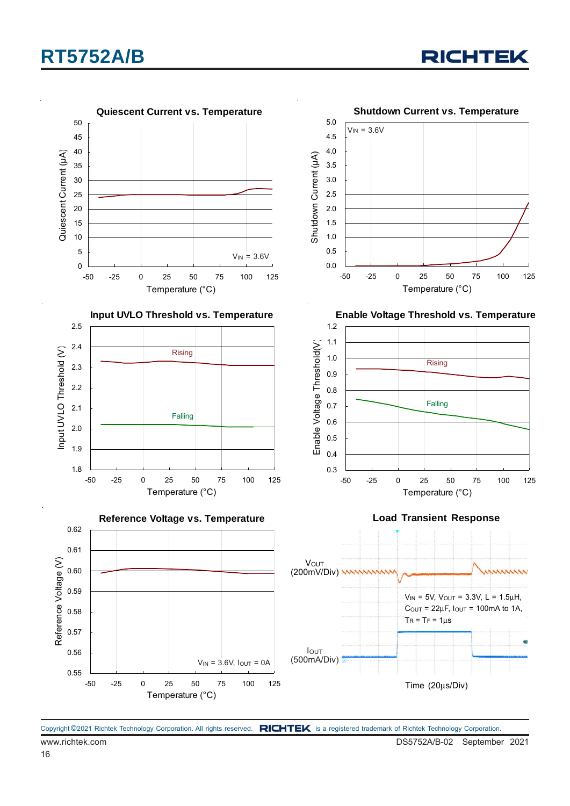# **RT5752A/B**





Copyright ©2021 Richtek Technology Corporation. All rights reserved. RICHTEK is a registered trademark of Richtek Technology Corporation.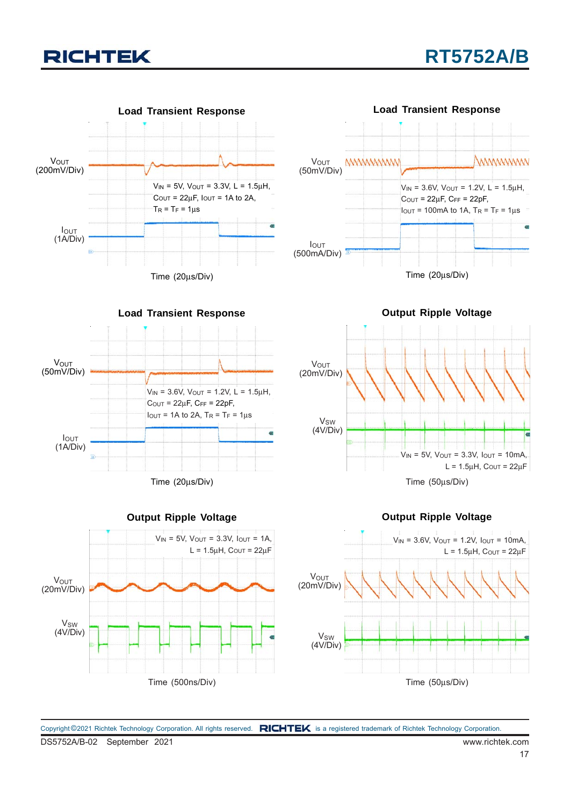



**Load Transient Response** Vout (50mV/Div) IOUT (1A/Div)  $V_{IN} = 3.6V$ ,  $V_{OUT} = 1.2V$ ,  $L = 1.5\mu H$ ,  $C$ <sup>OUT</sup> = 22μF,  $C$ <sub>FF</sub> = 22pF,  $I_{\text{OUT}}$  = 1A to 2A,  $T_R$  =  $T_F$  = 1us

Time (20μs/Div)



**Output Ripple Voltage**





DS5752A/B-02 September 2021 www.richtek.com Copyright ©2021 Richtek Technology Corporation. All rights reserved. RICHTEK is a registered trademark of Richtek Technology Corporation.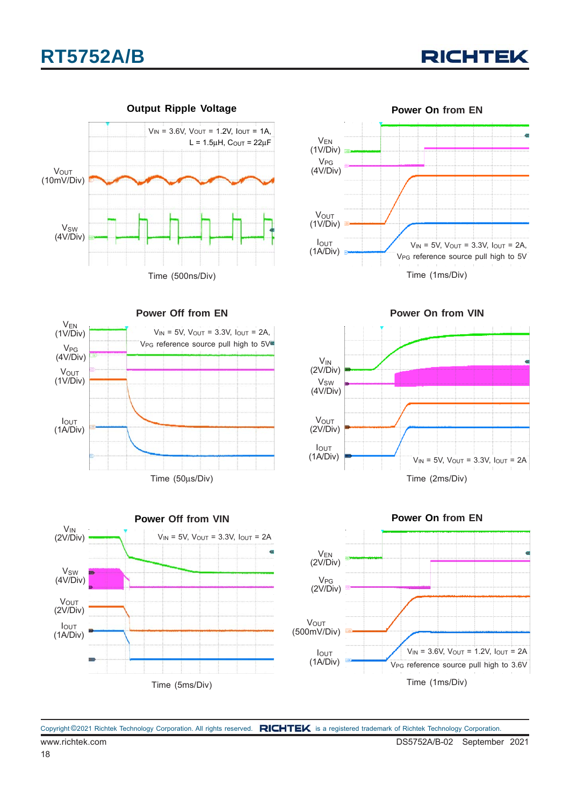



Time (50μs/Div)

**Power Off from EN**

 $V_{IN} = 5V$ ,  $V_{OUT} = 3.3V$ ,  $I_{OUT} = 2A$ , V<sub>PG</sub> reference source pull high to 5V<sup>e</sup>









Copyright ©2021 Richtek Technology Corporation. All rights reserved. RICHTEK is a registered trademark of Richtek Technology Corporation.

**V**OUT (1V/Div)

IOUT (1A/Div)

VEN (1V/Div)

**V<sub>PG</sub>** (4V/Div)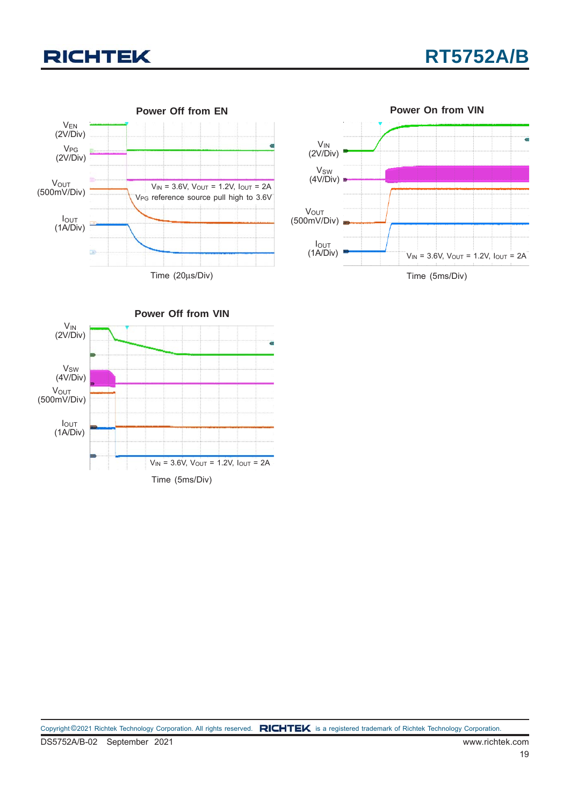

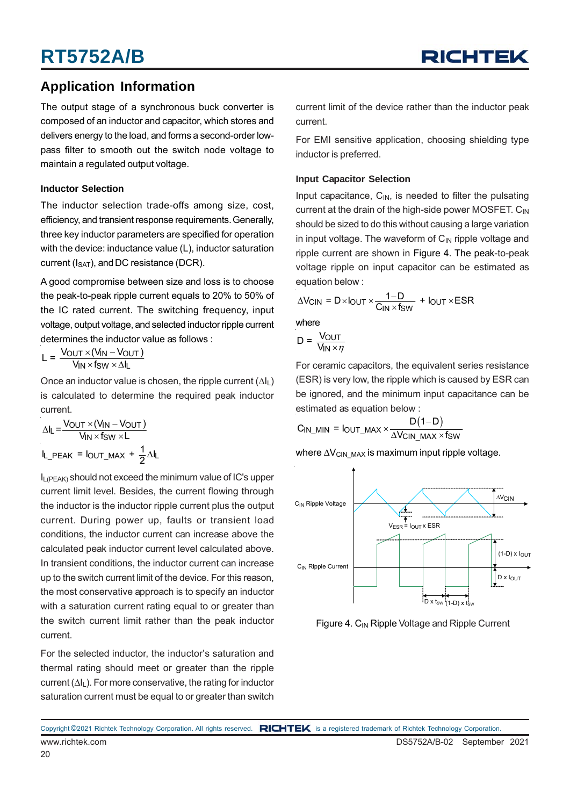### **Application Information**

The output stage of a synchronous buck converter is composed of an inductor and capacitor, which stores and delivers energy to the load, and forms a second-order lowpass filter to smooth out the switch node voltage to maintain a regulated output voltage.

#### **Inductor Selection**

The inductor selection trade-offs among size, cost, efficiency, and transient response requirements. Generally, three key inductor parameters are specified for operation with the device: inductance value (L), inductor saturation current ( $I_{SAT}$ ), and DC resistance (DCR).

A good compromise between size and loss is to choose the peak-to-peak ripple current equals to 20% to 50% of the IC rated current. The switching frequency, input voltage, output voltage, and selected inductor ripple current determines the inductor value as follows :

$$
L = \frac{V_{OUT} \times (V_{IN} - V_{OUT})}{V_{IN} \times f_{SW} \times \Delta I_L}
$$

Once an inductor value is chosen, the ripple current  $(\Delta I_L)$ is calculated to determine the required peak inductor current.

$$
\Delta I_L = \frac{V_{OUT} \times (V_{IN} - V_{OUT})}{V_{IN} \times f_{SW} \times L}
$$

$$
I_{L_P EAK} = I_{OUT_MAX} + \frac{1}{2} \Delta I_L
$$

IL(PEAK) should not exceed the minimum value of IC's upper current limit level. Besides, the current flowing through the inductor is the inductor ripple current plus the output current. During power up, faults or transient load conditions, the inductor current can increase above the calculated peak inductor current level calculated above. In transient conditions, the inductor current can increase up to the switch current limit of the device. For this reason, the most conservative approach is to specify an inductor with a saturation current rating equal to or greater than the switch current limit rather than the peak inductor current.

For the selected inductor, the inductor's saturation and thermal rating should meet or greater than the ripple current  $(\Delta I_L)$ . For more conservative, the rating for inductor saturation current must be equal to or greater than switch

current limit of the device rather than the inductor peak current.

For EMI sensitive application, choosing shielding type inductor is preferred.

#### **Input Capacitor Selection**

Input capacitance,  $C_{IN}$ , is needed to filter the pulsating current at the drain of the high-side power MOSFET.  $C_{IN}$ should be sized to do this without causing a large variation in input voltage. The waveform of  $C_{\text{IN}}$  ripple voltage and ripple current are shown in Figure 4. The peak-to-peak voltage ripple on input capacitor can be estimated as equation below :

$$
\Delta V_{\text{CIN}} = D \times I_{\text{OUT}} \times \frac{1-D}{C_{\text{IN}} \times f_{\text{SW}}} + I_{\text{OUT}} \times \text{ESR}
$$

where

$$
D = \frac{V_{OUT}}{V_{IN} \times \eta}
$$

For ceramic capacitors, the equivalent series resistance (ESR) is very low, the ripple which is caused by ESR can be ignored, and the minimum input capacitance can be estimated as equation below :

$$
C_{IN\_MIN} = I_{OUT\_MAX} \times \frac{D(1-D)}{\Delta V_{CIN\_MAX} \times f_{SW}}
$$

where  $\Delta V_{\text{CIN}}$  MAX is maximum input ripple voltage.



Figure 4. C<sub>IN</sub> Ripple Voltage and Ripple Current

www.richtek.com DS5752A/B-02 September 2021 Copyright ©2021 Richtek Technology Corporation. All rights reserved. RICHTEK is a registered trademark of Richtek Technology Corporation.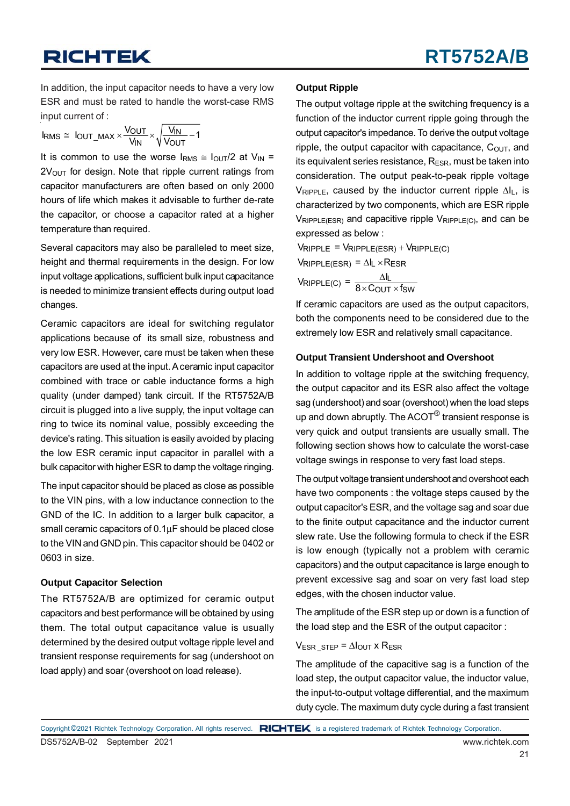In addition, the input capacitor needs to have a very low ESR and must be rated to handle the worst-case RMS input current of :

$$
I_{RMS} \cong \text{ IOUT\_MAX} \times \frac{V_{OUT}}{V_{IN}} \times \sqrt{\frac{V_{IN}}{V_{OUT}}-1}
$$

It is common to use the worse  $I_{RMS} \cong I_{OUT}/2$  at  $V_{IN} =$  $2V<sub>OUT</sub>$  for design. Note that ripple current ratings from capacitor manufacturers are often based on only 2000 hours of life which makes it advisable to further de-rate the capacitor, or choose a capacitor rated at a higher temperature than required.

Several capacitors may also be paralleled to meet size, height and thermal requirements in the design. For low input voltage applications, sufficient bulk input capacitance is needed to minimize transient effects during output load changes.

Ceramic capacitors are ideal for switching regulator applications because of its small size, robustness and very low ESR. However, care must be taken when these capacitors are used at the input. A ceramic input capacitor combined with trace or cable inductance forms a high quality (under damped) tank circuit. If the RT5752A/B circuit is plugged into a live supply, the input voltage can ring to twice its nominal value, possibly exceeding the device's rating. This situation is easily avoided by placing the low ESR ceramic input capacitor in parallel with a bulk capacitor with higher ESR to damp the voltage ringing.

The input capacitor should be placed as close as possible to the VIN pins, with a low inductance connection to the GND of the IC. In addition to a larger bulk capacitor, a small ceramic capacitors of 0.1μF should be placed close to the VIN and GND pin. This capacitor should be 0402 or 0603 in size.

#### **Output Capacitor Selection**

The RT5752A/B are optimized for ceramic output capacitors and best performance will be obtained by using them. The total output capacitance value is usually determined by the desired output voltage ripple level and transient response requirements for sag (undershoot on load apply) and soar (overshoot on load release).

#### **Output Ripple**

The output voltage ripple at the switching frequency is a function of the inductor current ripple going through the output capacitor's impedance. To derive the output voltage ripple, the output capacitor with capacitance,  $C<sub>OUT</sub>$ , and its equivalent series resistance,  $R_{ESR}$ , must be taken into consideration. The output peak-to-peak ripple voltage  $V_{RIPPLE}$ , caused by the inductor current ripple  $\Delta I_L$ , is characterized by two components, which are ESR ripple  $V_{RIPPLE(ESR)}$  and capacitive ripple  $V_{RIPPLE(C)}$ , and can be expressed as below :

 $V_{\text{RIPPLE}} = V_{\text{RIPPLE}}(\text{ESR}) + V_{\text{RIPPLE}}(\text{C})$  $V_{\text{RIPPLE(ESR)}} = \Delta I_L \times R_{\text{ESR}}$  $V_{\text{RIPPLE(C)}} = \frac{\Delta I_{\text{L}}}{8 \times C_{\text{OUT}} \times f_{\text{SW}}}$  $\times$  COUT  $\times$ 

If ceramic capacitors are used as the output capacitors, both the components need to be considered due to the extremely low ESR and relatively small capacitance.

#### **Output Transient Undershoot and Overshoot**

In addition to voltage ripple at the switching frequency, the output capacitor and its ESR also affect the voltage sag (undershoot) and soar (overshoot) when the load steps up and down abruptly. The  $ACOT^{\circledR}$  transient response is very quick and output transients are usually small. The following section shows how to calculate the worst-case voltage swings in response to very fast load steps.

The output voltage transient undershoot and overshoot each have two components : the voltage steps caused by the output capacitor's ESR, and the voltage sag and soar due to the finite output capacitance and the inductor current slew rate. Use the following formula to check if the ESR is low enough (typically not a problem with ceramic capacitors) and the output capacitance is large enough to prevent excessive sag and soar on very fast load step edges, with the chosen inductor value.

The amplitude of the ESR step up or down is a function of the load step and the ESR of the output capacitor :

#### $V_{ESR}$  STEP =  $\Delta I_{OUT}$  x R<sub>ESR</sub>

The amplitude of the capacitive sag is a function of the load step, the output capacitor value, the inductor value, the input-to-output voltage differential, and the maximum duty cycle. The maximum duty cycle during a fast transient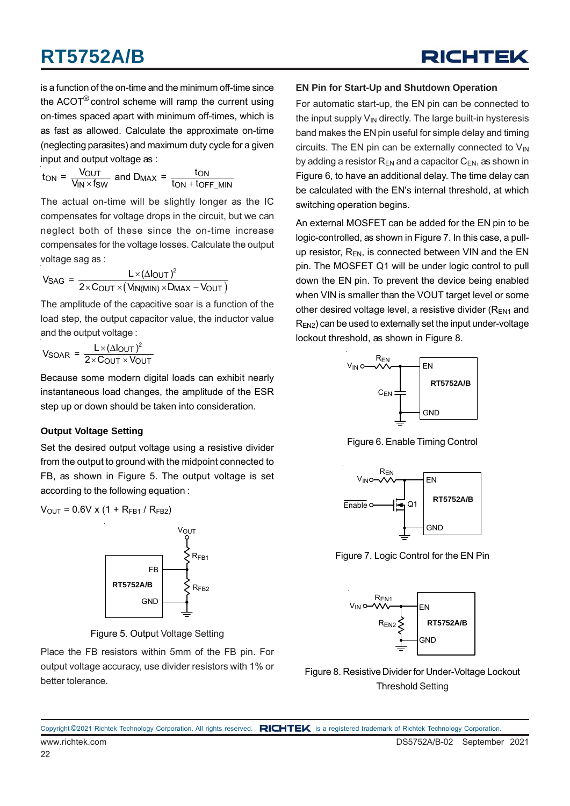is a function of the on-time and the minimum off-time since the ACOT® control scheme will ramp the current using on-times spaced apart with minimum off-times, which is as fast as allowed. Calculate the approximate on-time (neglecting parasites) and maximum duty cycle for a given input and output voltage as :

$$
t_{ON} = \frac{V_{OUT}}{V_{IN} \times f_{SW}}
$$
 and  $D_{MAX} = \frac{ton}{ton + toff\_MIN}$ 

The actual on-time will be slightly longer as the IC compensates for voltage drops in the circuit, but we can neglect both of these since the on-time increase compensates for the voltage losses. Calculate the output voltage sag as :

$$
V_{SAG} = \frac{L \times (\Delta I_{OUT})^2}{2 \times C_{OUT} \times (V_{IN(MIN)} \times D_{MAX} - V_{OUT})}
$$

The amplitude of the capacitive soar is a function of the load step, the output capacitor value, the inductor value and the output voltage :

 $V_{SOAR} = \frac{L \times (\Delta I_{OUT})^2}{2 \times C_{OUT} \times V_{OUT}}$  $\times$  Cout  $\times$ 

Because some modern digital loads can exhibit nearly instantaneous load changes, the amplitude of the ESR step up or down should be taken into consideration.

#### **Output Voltage Setting**

Set the desired output voltage using a resistive divider from the output to ground with the midpoint connected to FB, as shown in Figure 5. The output voltage is set according to the following equation :

$$
V_{\text{OUT}} = 0.6 V \times (1 + R_{\text{FB1}} / R_{\text{FB2}})
$$



Figure 5. Output Voltage Setting

Place the FB resistors within 5mm of the FB pin. For output voltage accuracy, use divider resistors with 1% or better tolerance.

#### **EN Pin for Start-Up and Shutdown Operation**

For automatic start-up, the EN pin can be connected to the input supply  $V_{IN}$  directly. The large built-in hysteresis band makes the EN pin useful for simple delay and timing circuits. The EN pin can be externally connected to  $V_{IN}$ by adding a resistor  $R_{EN}$  and a capacitor  $C_{EN}$ , as shown in Figure 6, to have an additional delay. The time delay can be calculated with the EN's internal threshold, at which switching operation begins.

An external MOSFET can be added for the EN pin to be logic-controlled, as shown in Figure 7. In this case, a pullup resistor,  $R_{FN}$ , is connected between VIN and the EN pin. The MOSFET Q1 will be under logic control to pull down the EN pin. To prevent the device being enabled when VIN is smaller than the VOUT target level or some other desired voltage level, a resistive divider ( $R_{EN1}$  and  $R_{FN2}$ ) can be used to externally set the input under-voltage lockout threshold, as shown in Figure 8.



Figure 6. Enable Timing Control



Figure 7. Logic Control for the EN Pin



Figure 8. Resistive Divider for Under-Voltage Lockout Threshold Setting

www.richtek.com DS5752A/B-02 September 2021 Copyright ©2021 Richtek Technology Corporation. All rights reserved. RICHTEK is a registered trademark of Richtek Technology Corporation.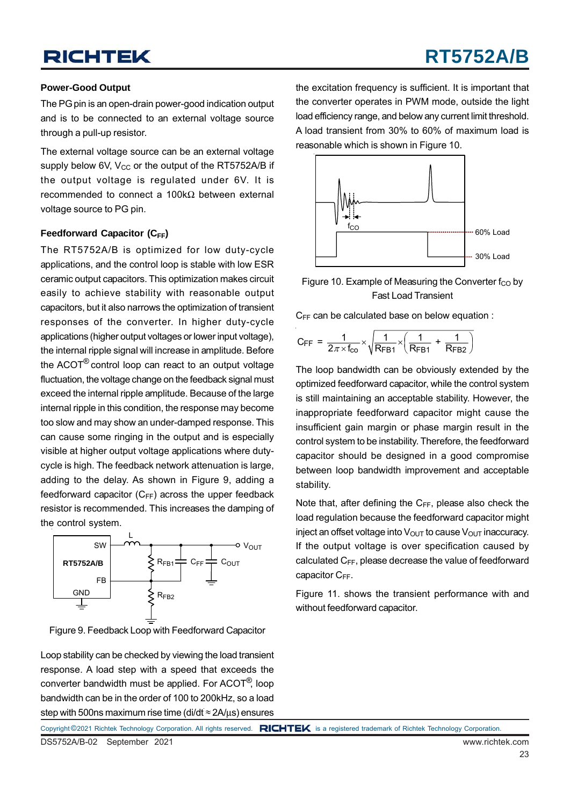# **RT5752A/B**

#### **Power-Good Output**

The PG pin is an open-drain power-good indication output and is to be connected to an external voltage source through a pull-up resistor.

The external voltage source can be an external voltage supply below 6V,  $V_{CC}$  or the output of the RT5752A/B if the output voltage is regulated under 6V. It is recommended to connect a 100kΩ between external voltage source to PG pin.

#### **Feedforward Capacitor (CFF)**

The RT5752A/B is optimized for low duty-cycle applications, and the control loop is stable with low ESR ceramic output capacitors. This optimization makes circuit easily to achieve stability with reasonable output capacitors, but it also narrows the optimization of transient responses of the converter. In higher duty-cycle applications (higher output voltages or lower input voltage), the internal ripple signal will increase in amplitude. Before the ACOT® control loop can react to an output voltage fluctuation, the voltage change on the feedback signal must exceed the internal ripple amplitude. Because of the large internal ripple in this condition, the response may become too slow and may show an under-damped response. This can cause some ringing in the output and is especially visible at higher output voltage applications where dutycycle is high. The feedback network attenuation is large, adding to the delay. As shown in Figure 9, adding a feedforward capacitor  $(C_{FF})$  across the upper feedback resistor is recommended. This increases the damping of the control system.



Figure 9. Feedback Loop with Feedforward Capacitor

Loop stability can be checked by viewing the load transient response. A load step with a speed that exceeds the converter bandwidth must be applied. For ACOT®, loop bandwidth can be in the order of 100 to 200kHz, so a load step with 500ns maximum rise time (di/dt ≈ 2A/μs) ensures

the excitation frequency is sufficient. It is important that the converter operates in PWM mode, outside the light load efficiency range, and below any current limit threshold. A load transient from 30% to 60% of maximum load is reasonable which is shown in Figure 10.



Figure 10. Example of Measuring the Converter  $f_{CO}$  by Fast Load Transient

 $C_{FF}$  can be calculated base on below equation :

$$
C_{\text{FF}} = \frac{1}{2\pi \times f_{\text{CO}}} \times \sqrt{\frac{1}{R_{\text{FB1}}} \times \left(\frac{1}{R_{\text{FB1}}} + \frac{1}{R_{\text{FB2}}}\right)}
$$

The loop bandwidth can be obviously extended by the optimized feedforward capacitor, while the control system is still maintaining an acceptable stability. However, the inappropriate feedforward capacitor might cause the insufficient gain margin or phase margin result in the control system to be instability. Therefore, the feedforward capacitor should be designed in a good compromise between loop bandwidth improvement and acceptable stability.

Note that, after defining the  $C_{FF}$ , please also check the load regulation because the feedforward capacitor might inject an offset voltage into  $V_{\text{OUT}}$  to cause  $V_{\text{OUT}}$  inaccuracy. If the output voltage is over specification caused by calculated CFF, please decrease the value of feedforward capacitor C<sub>FF</sub>.

Figure 11. shows the transient performance with and without feedforward capacitor.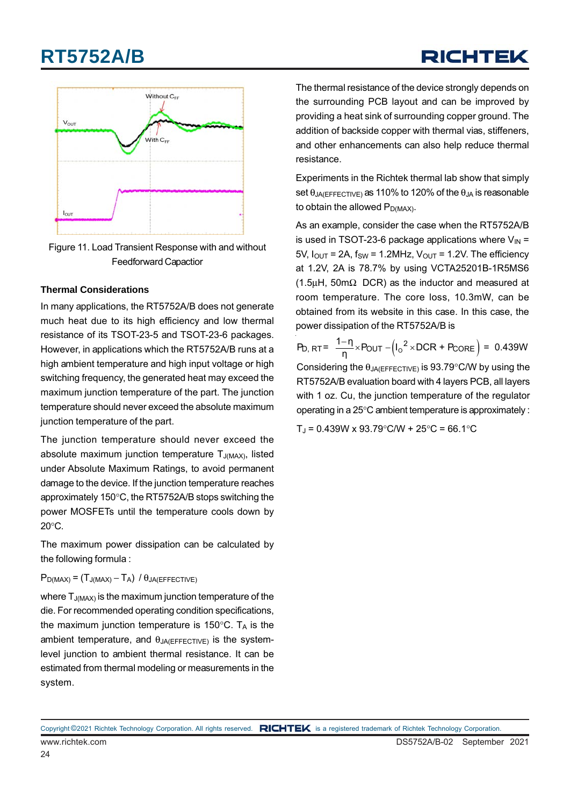# **RT5752A/B**

# RICHTEK



Figure 11. Load Transient Response with and without Feedforward Capactior

#### **Thermal Considerations**

In many applications, the RT5752A/B does not generate much heat due to its high efficiency and low thermal resistance of its TSOT-23-5 and TSOT-23-6 packages. However, in applications which the RT5752A/B runs at a high ambient temperature and high input voltage or high switching frequency, the generated heat may exceed the maximum junction temperature of the part. The junction temperature should never exceed the absolute maximum junction temperature of the part.

The junction temperature should never exceed the absolute maximum junction temperature  $T_{J(MAX)}$ , listed under Absolute Maximum Ratings, to avoid permanent damage to the device. If the junction temperature reaches approximately 150°C, the RT5752A/B stops switching the power MOSFETs until the temperature cools down by 20°C.

The maximum power dissipation can be calculated by the following formula :

#### $P_{D(MAX)} = (T_{J(MAX)} - T_A) / \theta_{JA(EFFECTIVE)}$

where  $T_{J(MAX)}$  is the maximum junction temperature of the die. For recommended operating condition specifications, the maximum junction temperature is  $150^{\circ}$ C. T<sub>A</sub> is the ambient temperature, and  $\theta_{JA(EFFECTIVE)}$  is the systemlevel junction to ambient thermal resistance. It can be estimated from thermal modeling or measurements in the system.

The thermal resistance of the device strongly depends on the surrounding PCB layout and can be improved by providing a heat sink of surrounding copper ground. The addition of backside copper with thermal vias, stiffeners, and other enhancements can also help reduce thermal resistance.

Experiments in the Richtek thermal lab show that simply set  $\theta_{JA(EFFECTIVE)}$  as 110% to 120% of the  $\theta_{JA}$  is reasonable to obtain the allowed  $P_{D(MAX)}$ .

As an example, consider the case when the RT5752A/B is used in TSOT-23-6 package applications where  $V_{\text{IN}} =$ 5V,  $I_{\text{OUT}}$  = 2A,  $f_{\text{SW}}$  = 1.2MHz,  $V_{\text{OUT}}$  = 1.2V. The efficiency at 1.2V, 2A is 78.7% by using VCTA25201B-1R5MS6 (1.5 $\mu$ H, 50m $\Omega$  DCR) as the inductor and measured at room temperature. The core loss, 10.3mW, can be obtained from its website in this case. In this case, the power dissipation of the RT5752A/B is

 $P_{D, RT} = \frac{1 - \eta}{\eta} \times P_{OUT} - (I_0^2 \times DCR + P_{CORE}) = 0.439W$ Considering the  $\theta_{JA(EFFECTIVE)}$  is 93.79°C/W by using the RT5752A/B evaluation board with 4 layers PCB, all layers with 1 oz. Cu, the junction temperature of the regulator operating in a 25°C ambient temperature is approximately :

 $T_J = 0.439W \times 93.79^{\circ}$ C/W + 25 $^{\circ}$ C = 66.1 $^{\circ}$ C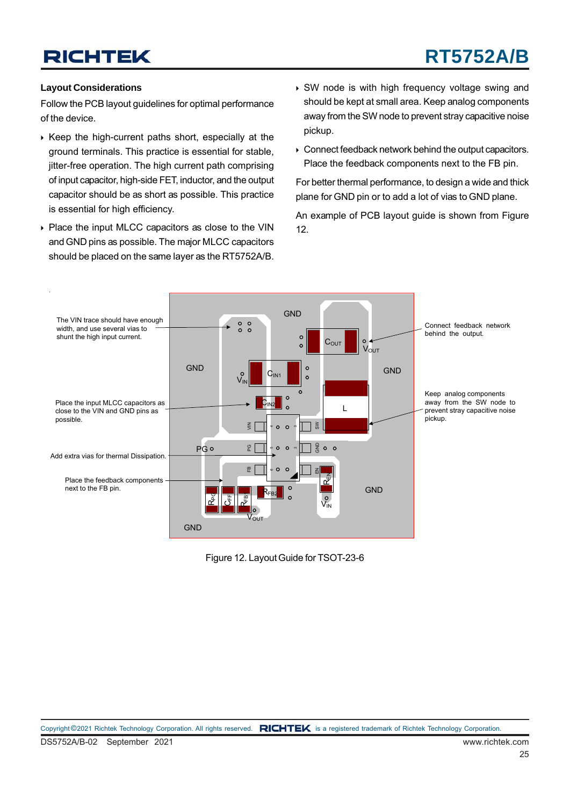# **RT5752A/B**

#### **Layout Considerations**

Follow the PCB layout guidelines for optimal performance of the device.

- $\triangleright$  Keep the high-current paths short, especially at the ground terminals. This practice is essential for stable, jitter-free operation. The high current path comprising of input capacitor, high-side FET, inductor, and the output capacitor should be as short as possible. This practice is essential for high efficiency.
- ▶ Place the input MLCC capacitors as close to the VIN and GND pins as possible. The major MLCC capacitors should be placed on the same layer as the RT5752A/B.
- SW node is with high frequency voltage swing and should be kept at small area. Keep analog components away from the SW node to prevent stray capacitive noise pickup.
- Connect feedback network behind the output capacitors. Place the feedback components next to the FB pin.

For better thermal performance, to design a wide and thick plane for GND pin or to add a lot of vias to GND plane.

An example of PCB layout guide is shown from Figure 12.



Figure 12. Layout Guide for TSOT-23-6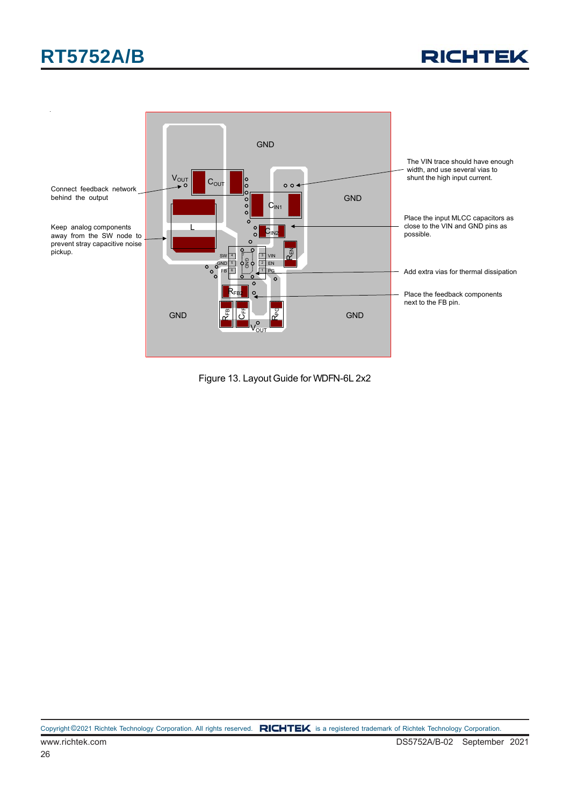



Figure 13. Layout Guide for WDFN-6L 2x2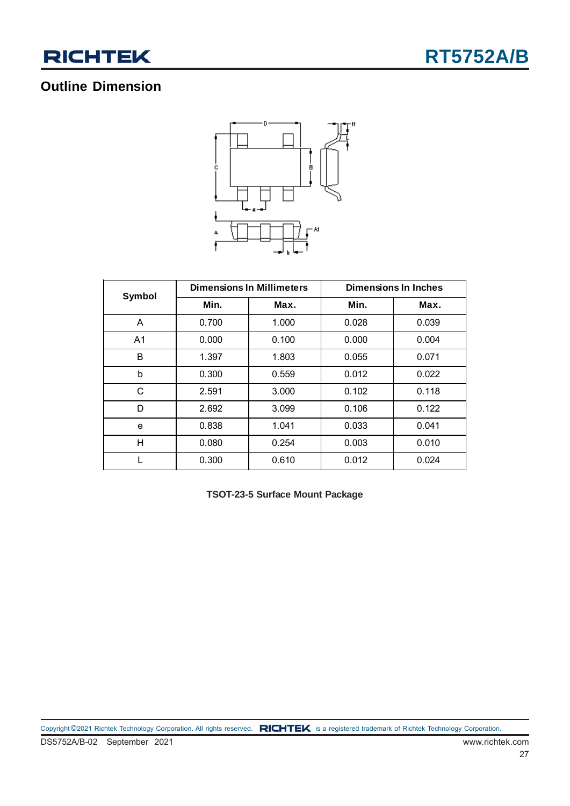

### **Outline Dimension**



| Symbol         |       | <b>Dimensions In Millimeters</b> | <b>Dimensions In Inches</b> |       |  |  |  |
|----------------|-------|----------------------------------|-----------------------------|-------|--|--|--|
|                | Min.  | Max.                             | Min.                        | Max.  |  |  |  |
| A              | 0.700 | 1.000                            | 0.028                       | 0.039 |  |  |  |
| A <sub>1</sub> | 0.000 | 0.100                            | 0.000                       | 0.004 |  |  |  |
| B              | 1.397 | 1.803                            | 0.055                       | 0.071 |  |  |  |
| b              | 0.300 | 0.559                            | 0.012                       | 0.022 |  |  |  |
| C              | 2.591 | 3.000                            | 0.102                       | 0.118 |  |  |  |
| D              | 2.692 | 3.099                            | 0.106                       | 0.122 |  |  |  |
| e              | 0.838 | 1.041                            | 0.033                       | 0.041 |  |  |  |
| H              | 0.080 | 0.254                            | 0.003                       | 0.010 |  |  |  |
|                | 0.300 | 0.610                            | 0.012                       | 0.024 |  |  |  |

**TSOT-23-5 Surface Mount Package**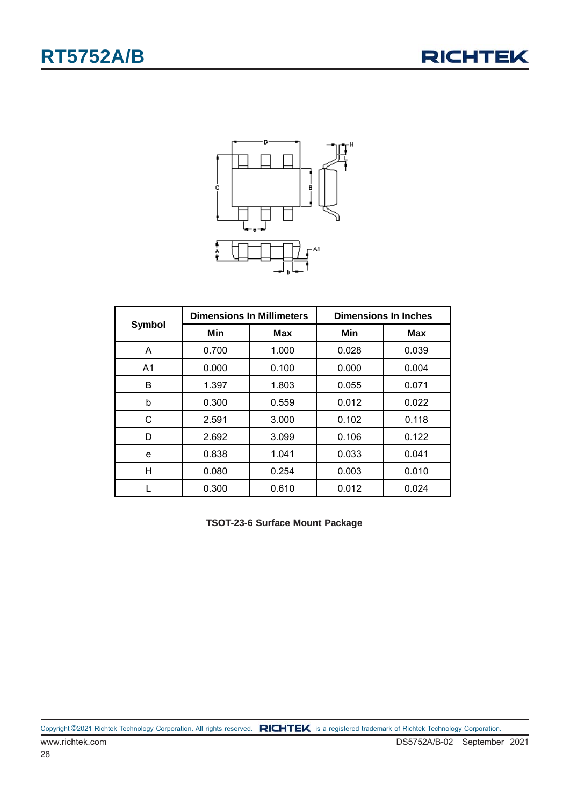



|        |       | <b>Dimensions In Millimeters</b> | <b>Dimensions In Inches</b> |            |  |  |
|--------|-------|----------------------------------|-----------------------------|------------|--|--|
| Symbol | Min   | <b>Max</b>                       | Min                         | <b>Max</b> |  |  |
| A      | 0.700 | 1.000                            | 0.028                       | 0.039      |  |  |
| A1     | 0.000 | 0.100                            | 0.000                       |            |  |  |
| B      | 1.397 | 1.803                            | 0.055                       | 0.071      |  |  |
| b      | 0.300 | 0.559                            | 0.012                       | 0.022      |  |  |
| C      | 2.591 | 3.000                            | 0.102                       | 0.118      |  |  |
| D      | 2.692 | 3.099                            | 0.106                       | 0.122      |  |  |
| е      | 0.838 | 1.041                            | 0.033                       | 0.041      |  |  |
| н      | 0.080 | 0.254                            | 0.003                       | 0.010      |  |  |
|        | 0.300 | 0.610                            | 0.012                       | 0.024      |  |  |

**TSOT-23-6 Surface Mount Package**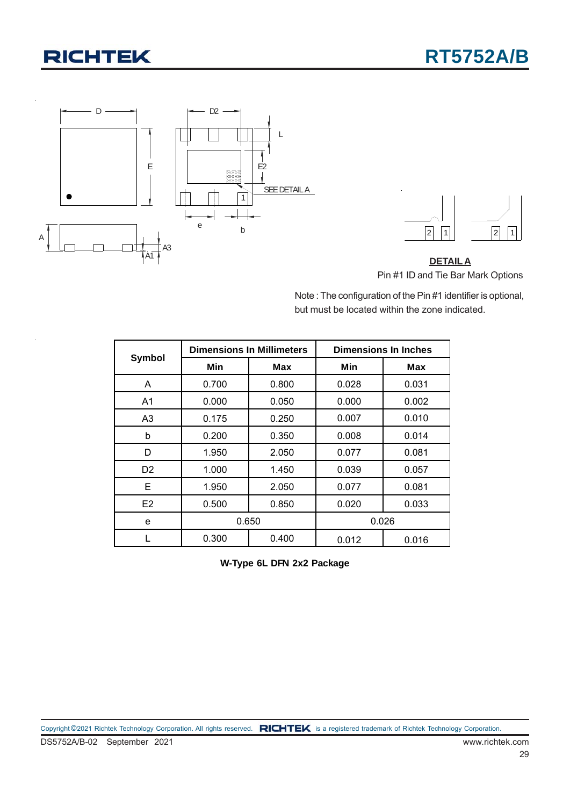



**DETAIL A** Pin #1 ID and Tie Bar Mark Options

Note : The configuration of the Pin #1 identifier is optional, but must be located within the zone indicated.

| Symbol         |       | <b>Dimensions In Millimeters</b> | <b>Dimensions In Inches</b> |       |  |  |
|----------------|-------|----------------------------------|-----------------------------|-------|--|--|
|                | Min   | Max                              | Min                         | Max   |  |  |
| A              | 0.700 | 0.800                            | 0.028                       | 0.031 |  |  |
| A <sub>1</sub> | 0.000 | 0.050                            | 0.000<br>0.002              |       |  |  |
| A3             | 0.175 | 0.250                            | 0.007<br>0.010              |       |  |  |
| b              | 0.200 | 0.350                            | 0.008                       | 0.014 |  |  |
| D              | 1.950 | 2.050                            | 0.077                       | 0.081 |  |  |
| D <sub>2</sub> | 1.000 | 1.450                            | 0.039<br>0.057              |       |  |  |
| Е              | 1.950 | 2.050                            | 0.077                       | 0.081 |  |  |
| E <sub>2</sub> | 0.500 | 0.850                            | 0.020                       | 0.033 |  |  |
| e              |       | 0.650                            |                             | 0.026 |  |  |
|                | 0.300 | 0.400                            | 0.012                       | 0.016 |  |  |

**W-Type 6L DFN 2x2 Package**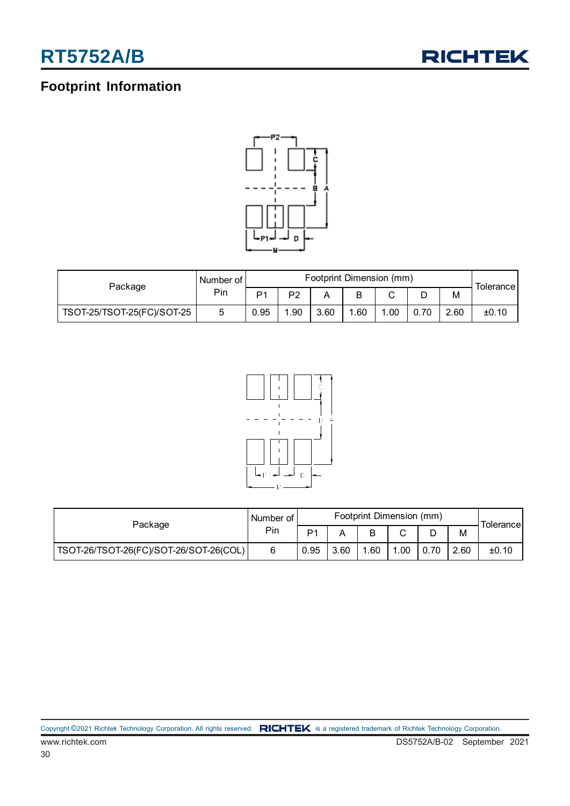

### **Footprint Information**



| Package                    | Number of I | Footprint Dimension (mm) |     |      |     |     |      |      | Tolerancel |
|----------------------------|-------------|--------------------------|-----|------|-----|-----|------|------|------------|
|                            | Pin         | D <sub>1</sub>           | D?  |      |     | ⌒   | D    | М    |            |
| TSOT-25/TSOT-25(FC)/SOT-25 | O           | 0.95                     | .90 | 3.60 | .60 | .00 | 0.70 | 2.60 | ±0.10      |



| Package                                | Number of I | Footprint Dimension (mm) |      |     |        |      |      | Tolerance |
|----------------------------------------|-------------|--------------------------|------|-----|--------|------|------|-----------|
|                                        | Pin         | D <sub>1</sub>           |      |     | $\sim$ | ◡    | М    |           |
| TSOT-26/TSOT-26(FC)/SOT-26/SOT-26(COL) |             | 0.95                     | 3.60 | .60 | .00    | 0.70 | 2.60 | ±0.10     |